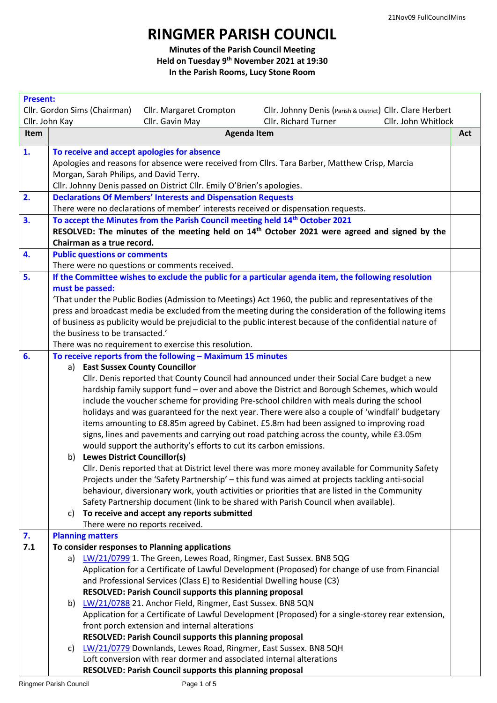## **RINGMER PARISH COUNCIL**

**Minutes of the Parish Council Meeting Held on Tuesday 9 th November 2021 at 19:30 In the Parish Rooms, Lucy Stone Room**

|           | <b>Present:</b>                                                                                                                                                                                                      |     |  |  |  |
|-----------|----------------------------------------------------------------------------------------------------------------------------------------------------------------------------------------------------------------------|-----|--|--|--|
|           | Cllr. Gordon Sims (Chairman)<br>Cllr. Margaret Crompton<br>Cllr. Johnny Denis (Parish & District) Cllr. Clare Herbert                                                                                                |     |  |  |  |
|           | <b>Cllr. Richard Turner</b><br>Cllr. John Kay<br>Cllr. Gavin May<br>Cllr. John Whitlock                                                                                                                              |     |  |  |  |
| Item      | <b>Agenda Item</b>                                                                                                                                                                                                   | Act |  |  |  |
| 1.        | To receive and accept apologies for absence                                                                                                                                                                          |     |  |  |  |
|           | Apologies and reasons for absence were received from Cllrs. Tara Barber, Matthew Crisp, Marcia                                                                                                                       |     |  |  |  |
|           | Morgan, Sarah Philips, and David Terry.                                                                                                                                                                              |     |  |  |  |
|           | Cllr. Johnny Denis passed on District Cllr. Emily O'Brien's apologies.                                                                                                                                               |     |  |  |  |
| 2.        | <b>Declarations Of Members' Interests and Dispensation Requests</b>                                                                                                                                                  |     |  |  |  |
|           | There were no declarations of member' interests received or dispensation requests.                                                                                                                                   |     |  |  |  |
| 3.        | To accept the Minutes from the Parish Council meeting held 14 <sup>th</sup> October 2021                                                                                                                             |     |  |  |  |
|           | RESOLVED: The minutes of the meeting held on 14 <sup>th</sup> October 2021 were agreed and signed by the                                                                                                             |     |  |  |  |
|           | Chairman as a true record.                                                                                                                                                                                           |     |  |  |  |
| 4.        | <b>Public questions or comments</b>                                                                                                                                                                                  |     |  |  |  |
|           | There were no questions or comments received.                                                                                                                                                                        |     |  |  |  |
| 5.        | If the Committee wishes to exclude the public for a particular agenda item, the following resolution                                                                                                                 |     |  |  |  |
|           | must be passed:                                                                                                                                                                                                      |     |  |  |  |
|           | 'That under the Public Bodies (Admission to Meetings) Act 1960, the public and representatives of the                                                                                                                |     |  |  |  |
|           | press and broadcast media be excluded from the meeting during the consideration of the following items<br>of business as publicity would be prejudicial to the public interest because of the confidential nature of |     |  |  |  |
|           | the business to be transacted.'                                                                                                                                                                                      |     |  |  |  |
|           | There was no requirement to exercise this resolution.                                                                                                                                                                |     |  |  |  |
| 6.        | To receive reports from the following - Maximum 15 minutes                                                                                                                                                           |     |  |  |  |
|           | a) East Sussex County Councillor                                                                                                                                                                                     |     |  |  |  |
|           | Cllr. Denis reported that County Council had announced under their Social Care budget a new                                                                                                                          |     |  |  |  |
|           | hardship family support fund - over and above the District and Borough Schemes, which would                                                                                                                          |     |  |  |  |
|           | include the voucher scheme for providing Pre-school children with meals during the school                                                                                                                            |     |  |  |  |
|           | holidays and was guaranteed for the next year. There were also a couple of 'windfall' budgetary                                                                                                                      |     |  |  |  |
|           | items amounting to £8.85m agreed by Cabinet. £5.8m had been assigned to improving road                                                                                                                               |     |  |  |  |
|           | signs, lines and pavements and carrying out road patching across the county, while £3.05m                                                                                                                            |     |  |  |  |
|           | would support the authority's efforts to cut its carbon emissions.                                                                                                                                                   |     |  |  |  |
|           | b) Lewes District Councillor(s)                                                                                                                                                                                      |     |  |  |  |
|           | Cllr. Denis reported that at District level there was more money available for Community Safety                                                                                                                      |     |  |  |  |
|           | Projects under the 'Safety Partnership' - this fund was aimed at projects tackling anti-social                                                                                                                       |     |  |  |  |
|           | behaviour, diversionary work, youth activities or priorities that are listed in the Community                                                                                                                        |     |  |  |  |
|           | Safety Partnership document (link to be shared with Parish Council when available).                                                                                                                                  |     |  |  |  |
|           | To receive and accept any reports submitted<br>C)                                                                                                                                                                    |     |  |  |  |
|           | There were no reports received.                                                                                                                                                                                      |     |  |  |  |
| 7.<br>7.1 | <b>Planning matters</b><br>To consider responses to Planning applications                                                                                                                                            |     |  |  |  |
|           | LW/21/0799 1. The Green, Lewes Road, Ringmer, East Sussex. BN8 5QG<br>a)                                                                                                                                             |     |  |  |  |
|           | Application for a Certificate of Lawful Development (Proposed) for change of use from Financial                                                                                                                      |     |  |  |  |
|           | and Professional Services (Class E) to Residential Dwelling house (C3)                                                                                                                                               |     |  |  |  |
|           | RESOLVED: Parish Council supports this planning proposal                                                                                                                                                             |     |  |  |  |
|           | b) LW/21/0788 21. Anchor Field, Ringmer, East Sussex. BN8 5QN                                                                                                                                                        |     |  |  |  |
|           | Application for a Certificate of Lawful Development (Proposed) for a single-storey rear extension,                                                                                                                   |     |  |  |  |
|           | front porch extension and internal alterations                                                                                                                                                                       |     |  |  |  |
|           | RESOLVED: Parish Council supports this planning proposal                                                                                                                                                             |     |  |  |  |
|           | LW/21/0779 Downlands, Lewes Road, Ringmer, East Sussex. BN8 5QH<br>C)                                                                                                                                                |     |  |  |  |
|           | Loft conversion with rear dormer and associated internal alterations                                                                                                                                                 |     |  |  |  |
|           | RESOLVED: Parish Council supports this planning proposal                                                                                                                                                             |     |  |  |  |
|           |                                                                                                                                                                                                                      |     |  |  |  |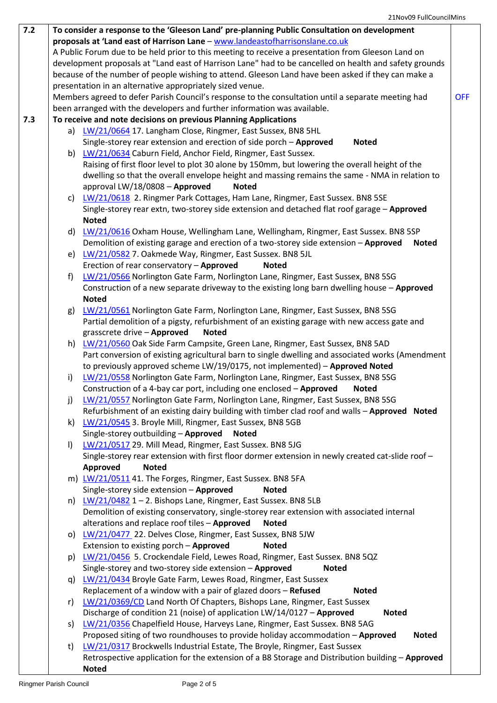| 7.2 | To consider a response to the 'Gleeson Land' pre-planning Public Consultation on development           |                                                                                                                                                                                 |  |  |
|-----|--------------------------------------------------------------------------------------------------------|---------------------------------------------------------------------------------------------------------------------------------------------------------------------------------|--|--|
|     | proposals at 'Land east of Harrison Lane - www.landeastofharrisonslane.co.uk                           |                                                                                                                                                                                 |  |  |
|     | A Public Forum due to be held prior to this meeting to receive a presentation from Gleeson Land on     |                                                                                                                                                                                 |  |  |
|     | development proposals at "Land east of Harrison Lane" had to be cancelled on health and safety grounds |                                                                                                                                                                                 |  |  |
|     | because of the number of people wishing to attend. Gleeson Land have been asked if they can make a     |                                                                                                                                                                                 |  |  |
|     | presentation in an alternative appropriately sized venue.                                              |                                                                                                                                                                                 |  |  |
|     | Members agreed to defer Parish Council's response to the consultation until a separate meeting had     |                                                                                                                                                                                 |  |  |
|     |                                                                                                        | been arranged with the developers and further information was available.                                                                                                        |  |  |
| 7.3 |                                                                                                        | To receive and note decisions on previous Planning Applications                                                                                                                 |  |  |
|     |                                                                                                        | a) LW/21/0664 17. Langham Close, Ringmer, East Sussex, BN8 5HL                                                                                                                  |  |  |
|     |                                                                                                        | Single-storey rear extension and erection of side porch - Approved<br><b>Noted</b>                                                                                              |  |  |
|     |                                                                                                        | b) LW/21/0634 Caburn Field, Anchor Field, Ringmer, East Sussex.                                                                                                                 |  |  |
|     |                                                                                                        | Raising of first floor level to plot 30 alone by 150mm, but lowering the overall height of the                                                                                  |  |  |
|     |                                                                                                        | dwelling so that the overall envelope height and massing remains the same - NMA in relation to                                                                                  |  |  |
|     |                                                                                                        | approval LW/18/0808 - Approved<br><b>Noted</b>                                                                                                                                  |  |  |
|     | C)                                                                                                     | LW/21/0618 2. Ringmer Park Cottages, Ham Lane, Ringmer, East Sussex. BN8 5SE                                                                                                    |  |  |
|     |                                                                                                        | Single-storey rear extn, two-storey side extension and detached flat roof garage - Approved                                                                                     |  |  |
|     |                                                                                                        | <b>Noted</b>                                                                                                                                                                    |  |  |
|     | d)                                                                                                     | LW/21/0616 Oxham House, Wellingham Lane, Wellingham, Ringmer, East Sussex. BN8 5SP                                                                                              |  |  |
|     |                                                                                                        | Demolition of existing garage and erection of a two-storey side extension - Approved<br><b>Noted</b>                                                                            |  |  |
|     |                                                                                                        | e) LW/21/0582 7. Oakmede Way, Ringmer, East Sussex. BN8 5JL                                                                                                                     |  |  |
|     |                                                                                                        | Erection of rear conservatory - Approved<br><b>Noted</b>                                                                                                                        |  |  |
|     | f)                                                                                                     | LW/21/0566 Norlington Gate Farm, Norlington Lane, Ringmer, East Sussex, BN8 5SG                                                                                                 |  |  |
|     |                                                                                                        | Construction of a new separate driveway to the existing long barn dwelling house - Approved                                                                                     |  |  |
|     |                                                                                                        | <b>Noted</b>                                                                                                                                                                    |  |  |
|     | g)                                                                                                     | LW/21/0561 Norlington Gate Farm, Norlington Lane, Ringmer, East Sussex, BN8 5SG<br>Partial demolition of a pigsty, refurbishment of an existing garage with new access gate and |  |  |
|     |                                                                                                        | grasscrete drive - Approved<br><b>Noted</b>                                                                                                                                     |  |  |
|     |                                                                                                        | h) LW/21/0560 Oak Side Farm Campsite, Green Lane, Ringmer, East Sussex, BN8 5AD                                                                                                 |  |  |
|     |                                                                                                        | Part conversion of existing agricultural barn to single dwelling and associated works (Amendment                                                                                |  |  |
|     |                                                                                                        | to previously approved scheme LW/19/0175, not implemented) - Approved Noted                                                                                                     |  |  |
|     | i)                                                                                                     | LW/21/0558 Norlington Gate Farm, Norlington Lane, Ringmer, East Sussex, BN8 5SG                                                                                                 |  |  |
|     |                                                                                                        | Construction of a 4-bay car port, including one enclosed - Approved<br><b>Noted</b>                                                                                             |  |  |
|     | j)                                                                                                     | LW/21/0557 Norlington Gate Farm, Norlington Lane, Ringmer, East Sussex, BN8 5SG                                                                                                 |  |  |
|     |                                                                                                        | Refurbishment of an existing dairy building with timber clad roof and walls - Approved Noted                                                                                    |  |  |
|     | k)                                                                                                     | LW/21/0545 3. Broyle Mill, Ringmer, East Sussex, BN8 5GB                                                                                                                        |  |  |
|     |                                                                                                        | Single-storey outbuilding - Approved<br><b>Noted</b>                                                                                                                            |  |  |
|     | $\vert$                                                                                                | LW/21/0517 29. Mill Mead, Ringmer, East Sussex. BN8 5JG                                                                                                                         |  |  |
|     |                                                                                                        | Single-storey rear extension with first floor dormer extension in newly created cat-slide roof -                                                                                |  |  |
|     |                                                                                                        | Approved<br><b>Noted</b>                                                                                                                                                        |  |  |
|     |                                                                                                        | m) LW/21/0511 41. The Forges, Ringmer, East Sussex. BN8 5FA                                                                                                                     |  |  |
|     |                                                                                                        | Single-storey side extension - Approved<br><b>Noted</b>                                                                                                                         |  |  |
|     |                                                                                                        | n) LW/21/0482 1-2. Bishops Lane, Ringmer, East Sussex. BN8 5LB                                                                                                                  |  |  |
|     |                                                                                                        | Demolition of existing conservatory, single-storey rear extension with associated internal                                                                                      |  |  |
|     |                                                                                                        | alterations and replace roof tiles - Approved<br><b>Noted</b>                                                                                                                   |  |  |
|     |                                                                                                        | o) LW/21/0477 22. Delves Close, Ringmer, East Sussex, BN8 5JW                                                                                                                   |  |  |
|     |                                                                                                        | Extension to existing porch - Approved<br><b>Noted</b>                                                                                                                          |  |  |
|     | p)                                                                                                     | LW/21/0456 5. Crockendale Field, Lewes Road, Ringmer, East Sussex. BN8 5QZ                                                                                                      |  |  |
|     |                                                                                                        | Single-storey and two-storey side extension - Approved<br><b>Noted</b>                                                                                                          |  |  |
|     |                                                                                                        | q) LW/21/0434 Broyle Gate Farm, Lewes Road, Ringmer, East Sussex<br>Replacement of a window with a pair of glazed doors - Refused<br><b>Noted</b>                               |  |  |
|     | r)                                                                                                     | LW/21/0369/CD Land North Of Chapters, Bishops Lane, Ringmer, East Sussex                                                                                                        |  |  |
|     |                                                                                                        | Discharge of condition 21 (noise) of application LW/14/0127 - Approved<br><b>Noted</b>                                                                                          |  |  |
|     | s)                                                                                                     | LW/21/0356 Chapelfield House, Harveys Lane, Ringmer, East Sussex. BN8 5AG                                                                                                       |  |  |
|     |                                                                                                        | Proposed siting of two roundhouses to provide holiday accommodation - Approved<br><b>Noted</b>                                                                                  |  |  |
|     | t)                                                                                                     | LW/21/0317 Brockwells Industrial Estate, The Broyle, Ringmer, East Sussex                                                                                                       |  |  |
|     |                                                                                                        | Retrospective application for the extension of a B8 Storage and Distribution building - Approved                                                                                |  |  |
|     |                                                                                                        | <b>Noted</b>                                                                                                                                                                    |  |  |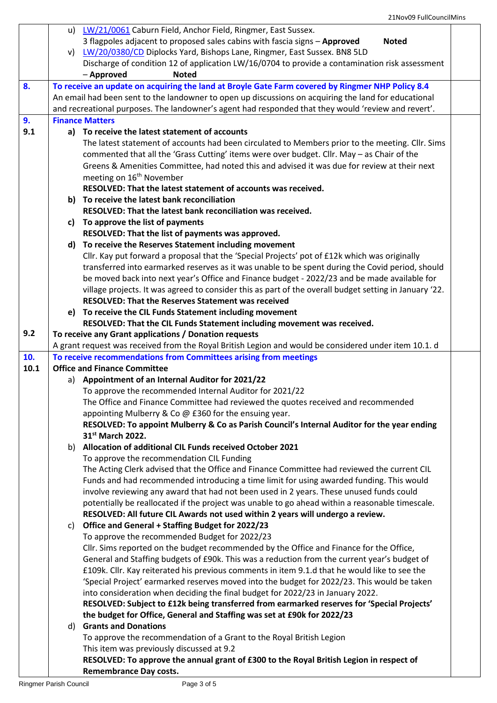|      |                                                                                                | u) LW/21/0061 Caburn Field, Anchor Field, Ringmer, East Sussex.                                                                                                       |  |  |
|------|------------------------------------------------------------------------------------------------|-----------------------------------------------------------------------------------------------------------------------------------------------------------------------|--|--|
|      |                                                                                                | 3 flagpoles adjacent to proposed sales cabins with fascia signs - Approved<br><b>Noted</b>                                                                            |  |  |
|      |                                                                                                | v) LW/20/0380/CD Diplocks Yard, Bishops Lane, Ringmer, East Sussex. BN8 5LD                                                                                           |  |  |
|      | Discharge of condition 12 of application LW/16/0704 to provide a contamination risk assessment |                                                                                                                                                                       |  |  |
|      |                                                                                                | - Approved<br><b>Noted</b>                                                                                                                                            |  |  |
| 8.   |                                                                                                | To receive an update on acquiring the land at Broyle Gate Farm covered by Ringmer NHP Policy 8.4                                                                      |  |  |
|      |                                                                                                | An email had been sent to the landowner to open up discussions on acquiring the land for educational                                                                  |  |  |
|      |                                                                                                | and recreational purposes. The landowner's agent had responded that they would 'review and revert'.                                                                   |  |  |
| 9.   |                                                                                                | <b>Finance Matters</b>                                                                                                                                                |  |  |
| 9.1  | a) To receive the latest statement of accounts                                                 |                                                                                                                                                                       |  |  |
|      |                                                                                                | The latest statement of accounts had been circulated to Members prior to the meeting. Cllr. Sims                                                                      |  |  |
|      |                                                                                                | commented that all the 'Grass Cutting' items were over budget. Cllr. May - as Chair of the                                                                            |  |  |
|      |                                                                                                | Greens & Amenities Committee, had noted this and advised it was due for review at their next                                                                          |  |  |
|      |                                                                                                | meeting on 16 <sup>th</sup> November                                                                                                                                  |  |  |
|      |                                                                                                | RESOLVED: That the latest statement of accounts was received.                                                                                                         |  |  |
|      |                                                                                                | b) To receive the latest bank reconciliation                                                                                                                          |  |  |
|      |                                                                                                | RESOLVED: That the latest bank reconciliation was received.                                                                                                           |  |  |
|      | c)                                                                                             | To approve the list of payments                                                                                                                                       |  |  |
|      |                                                                                                | RESOLVED: That the list of payments was approved.                                                                                                                     |  |  |
|      | d)                                                                                             | To receive the Reserves Statement including movement                                                                                                                  |  |  |
|      |                                                                                                | Cllr. Kay put forward a proposal that the 'Special Projects' pot of £12k which was originally                                                                         |  |  |
|      |                                                                                                | transferred into earmarked reserves as it was unable to be spent during the Covid period, should                                                                      |  |  |
|      |                                                                                                | be moved back into next year's Office and Finance budget - 2022/23 and be made available for                                                                          |  |  |
|      |                                                                                                | village projects. It was agreed to consider this as part of the overall budget setting in January '22.                                                                |  |  |
|      |                                                                                                | RESOLVED: That the Reserves Statement was received                                                                                                                    |  |  |
|      |                                                                                                | e) To receive the CIL Funds Statement including movement                                                                                                              |  |  |
| 9.2  |                                                                                                | RESOLVED: That the CIL Funds Statement including movement was received.                                                                                               |  |  |
|      |                                                                                                | To receive any Grant applications / Donation requests                                                                                                                 |  |  |
| 10.  |                                                                                                | A grant request was received from the Royal British Legion and would be considered under item 10.1. d                                                                 |  |  |
| 10.1 |                                                                                                | To receive recommendations from Committees arising from meetings<br><b>Office and Finance Committee</b>                                                               |  |  |
|      | a)                                                                                             | Appointment of an Internal Auditor for 2021/22                                                                                                                        |  |  |
|      |                                                                                                | To approve the recommended Internal Auditor for 2021/22                                                                                                               |  |  |
|      |                                                                                                | The Office and Finance Committee had reviewed the quotes received and recommended                                                                                     |  |  |
|      |                                                                                                | appointing Mulberry & Co @ £360 for the ensuing year.                                                                                                                 |  |  |
|      |                                                                                                | RESOLVED: To appoint Mulberry & Co as Parish Council's Internal Auditor for the year ending                                                                           |  |  |
|      |                                                                                                | 31st March 2022.                                                                                                                                                      |  |  |
|      |                                                                                                | b) Allocation of additional CIL Funds received October 2021                                                                                                           |  |  |
|      |                                                                                                | To approve the recommendation CIL Funding                                                                                                                             |  |  |
|      |                                                                                                | The Acting Clerk advised that the Office and Finance Committee had reviewed the current CIL                                                                           |  |  |
|      |                                                                                                | Funds and had recommended introducing a time limit for using awarded funding. This would                                                                              |  |  |
|      |                                                                                                | involve reviewing any award that had not been used in 2 years. These unused funds could                                                                               |  |  |
|      |                                                                                                | potentially be reallocated if the project was unable to go ahead within a reasonable timescale.                                                                       |  |  |
|      |                                                                                                | RESOLVED: All future CIL Awards not used within 2 years will undergo a review.                                                                                        |  |  |
|      | C)                                                                                             | Office and General + Staffing Budget for 2022/23                                                                                                                      |  |  |
|      |                                                                                                | To approve the recommended Budget for 2022/23                                                                                                                         |  |  |
|      |                                                                                                | Cllr. Sims reported on the budget recommended by the Office and Finance for the Office,                                                                               |  |  |
|      |                                                                                                | General and Staffing budgets of £90k. This was a reduction from the current year's budget of                                                                          |  |  |
|      |                                                                                                | £109k. Cllr. Kay reiterated his previous comments in item 9.1.d that he would like to see the                                                                         |  |  |
|      |                                                                                                | 'Special Project' earmarked reserves moved into the budget for 2022/23. This would be taken                                                                           |  |  |
|      |                                                                                                | into consideration when deciding the final budget for 2022/23 in January 2022.                                                                                        |  |  |
|      |                                                                                                | RESOLVED: Subject to £12k being transferred from earmarked reserves for 'Special Projects'<br>the budget for Office, General and Staffing was set at £90k for 2022/23 |  |  |
|      |                                                                                                | d) Grants and Donations                                                                                                                                               |  |  |
|      |                                                                                                | To approve the recommendation of a Grant to the Royal British Legion                                                                                                  |  |  |
|      |                                                                                                | This item was previously discussed at 9.2                                                                                                                             |  |  |
|      |                                                                                                | RESOLVED: To approve the annual grant of £300 to the Royal British Legion in respect of                                                                               |  |  |
|      |                                                                                                | <b>Remembrance Day costs.</b>                                                                                                                                         |  |  |
|      |                                                                                                |                                                                                                                                                                       |  |  |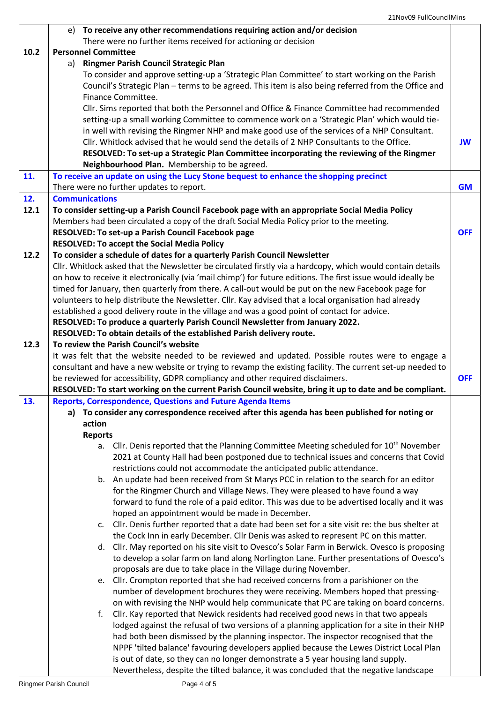|      | e) To receive any other recommendations requiring action and/or decision                                                                                                                |            |
|------|-----------------------------------------------------------------------------------------------------------------------------------------------------------------------------------------|------------|
|      | There were no further items received for actioning or decision                                                                                                                          |            |
| 10.2 | <b>Personnel Committee</b><br>Ringmer Parish Council Strategic Plan<br>a)                                                                                                               |            |
|      | To consider and approve setting-up a 'Strategic Plan Committee' to start working on the Parish                                                                                          |            |
|      | Council's Strategic Plan - terms to be agreed. This item is also being referred from the Office and                                                                                     |            |
|      | Finance Committee.                                                                                                                                                                      |            |
|      | Cllr. Sims reported that both the Personnel and Office & Finance Committee had recommended                                                                                              |            |
|      | setting-up a small working Committee to commence work on a 'Strategic Plan' which would tie-                                                                                            |            |
|      | in well with revising the Ringmer NHP and make good use of the services of a NHP Consultant.                                                                                            |            |
|      | Cllr. Whitlock advised that he would send the details of 2 NHP Consultants to the Office.                                                                                               | <b>JW</b>  |
|      | RESOLVED: To set-up a Strategic Plan Committee incorporating the reviewing of the Ringmer                                                                                               |            |
|      | Neighbourhood Plan. Membership to be agreed.                                                                                                                                            |            |
| 11.  | To receive an update on using the Lucy Stone bequest to enhance the shopping precinct                                                                                                   |            |
|      | There were no further updates to report.                                                                                                                                                | <b>GM</b>  |
| 12.  | <b>Communications</b>                                                                                                                                                                   |            |
| 12.1 | To consider setting-up a Parish Council Facebook page with an appropriate Social Media Policy                                                                                           |            |
|      | Members had been circulated a copy of the draft Social Media Policy prior to the meeting.                                                                                               |            |
|      | RESOLVED: To set-up a Parish Council Facebook page                                                                                                                                      | <b>OFF</b> |
|      | <b>RESOLVED: To accept the Social Media Policy</b>                                                                                                                                      |            |
| 12.2 | To consider a schedule of dates for a quarterly Parish Council Newsletter<br>Cllr. Whitlock asked that the Newsletter be circulated firstly via a hardcopy, which would contain details |            |
|      | on how to receive it electronically (via 'mail chimp') for future editions. The first issue would ideally be                                                                            |            |
|      | timed for January, then quarterly from there. A call-out would be put on the new Facebook page for                                                                                      |            |
|      | volunteers to help distribute the Newsletter. Cllr. Kay advised that a local organisation had already                                                                                   |            |
|      | established a good delivery route in the village and was a good point of contact for advice.                                                                                            |            |
|      | RESOLVED: To produce a quarterly Parish Council Newsletter from January 2022.                                                                                                           |            |
|      | RESOLVED: To obtain details of the established Parish delivery route.                                                                                                                   |            |
| 12.3 | To review the Parish Council's website                                                                                                                                                  |            |
|      | It was felt that the website needed to be reviewed and updated. Possible routes were to engage a                                                                                        |            |
|      | consultant and have a new website or trying to revamp the existing facility. The current set-up needed to                                                                               |            |
|      | be reviewed for accessibility, GDPR compliancy and other required disclaimers.                                                                                                          | <b>OFF</b> |
|      | RESOLVED: To start working on the current Parish Council website, bring it up to date and be compliant.                                                                                 |            |
| 13.  | <b>Reports, Correspondence, Questions and Future Agenda Items</b>                                                                                                                       |            |
|      | a) To consider any correspondence received after this agenda has been published for noting or<br>action                                                                                 |            |
|      | <b>Reports</b>                                                                                                                                                                          |            |
|      | a. Cllr. Denis reported that the Planning Committee Meeting scheduled for 10 <sup>th</sup> November                                                                                     |            |
|      | 2021 at County Hall had been postponed due to technical issues and concerns that Covid                                                                                                  |            |
|      | restrictions could not accommodate the anticipated public attendance.                                                                                                                   |            |
|      | b. An update had been received from St Marys PCC in relation to the search for an editor                                                                                                |            |
|      | for the Ringmer Church and Village News. They were pleased to have found a way                                                                                                          |            |
|      | forward to fund the role of a paid editor. This was due to be advertised locally and it was                                                                                             |            |
|      | hoped an appointment would be made in December.                                                                                                                                         |            |
|      | c. Cllr. Denis further reported that a date had been set for a site visit re: the bus shelter at                                                                                        |            |
|      | the Cock Inn in early December. Cllr Denis was asked to represent PC on this matter.                                                                                                    |            |
|      | d. Cllr. May reported on his site visit to Ovesco's Solar Farm in Berwick. Ovesco is proposing                                                                                          |            |
|      | to develop a solar farm on land along Norlington Lane. Further presentations of Ovesco's                                                                                                |            |
|      | proposals are due to take place in the Village during November.                                                                                                                         |            |
|      | e. Cllr. Crompton reported that she had received concerns from a parishioner on the                                                                                                     |            |
|      | number of development brochures they were receiving. Members hoped that pressing-                                                                                                       |            |
|      | on with revising the NHP would help communicate that PC are taking on board concerns.<br>f. Cllr. Kay reported that Newick residents had received good news in that two appeals         |            |
|      | lodged against the refusal of two versions of a planning application for a site in their NHP                                                                                            |            |
|      | had both been dismissed by the planning inspector. The inspector recognised that the                                                                                                    |            |
|      | NPPF 'tilted balance' favouring developers applied because the Lewes District Local Plan                                                                                                |            |
|      | is out of date, so they can no longer demonstrate a 5 year housing land supply.                                                                                                         |            |
|      | Nevertheless, despite the tilted balance, it was concluded that the negative landscape                                                                                                  |            |